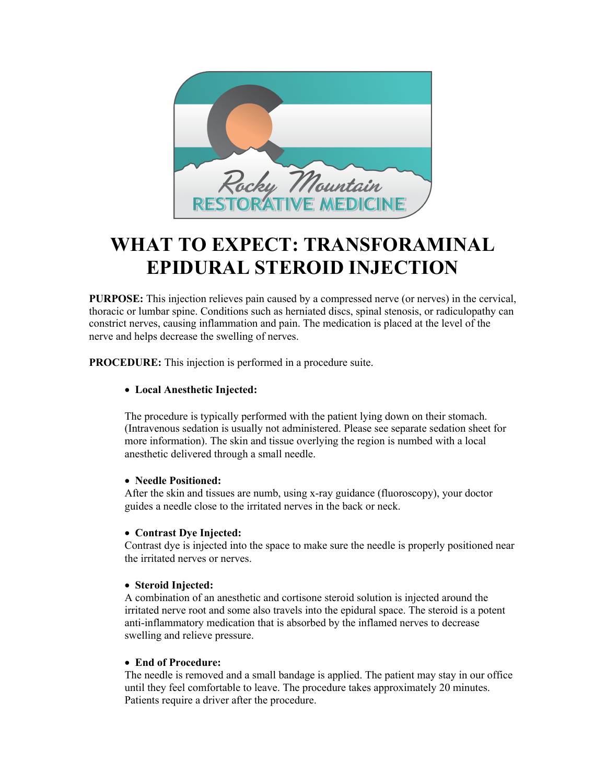

# **WHAT TO EXPECT: TRANSFORAMINAL EPIDURAL STEROID INJECTION**

**PURPOSE:** This injection relieves pain caused by a compressed nerve (or nerves) in the cervical, thoracic or lumbar spine. Conditions such as herniated discs, spinal stenosis, or radiculopathy can constrict nerves, causing inflammation and pain. The medication is placed at the level of the nerve and helps decrease the swelling of nerves.

**PROCEDURE:** This injection is performed in a procedure suite.

## • **Local Anesthetic Injected:**

The procedure is typically performed with the patient lying down on their stomach. (Intravenous sedation is usually not administered. Please see separate sedation sheet for more information). The skin and tissue overlying the region is numbed with a local anesthetic delivered through a small needle.

## • **Needle Positioned:**

After the skin and tissues are numb, using x-ray guidance (fluoroscopy), your doctor guides a needle close to the irritated nerves in the back or neck.

## • **Contrast Dye Injected:**

Contrast dye is injected into the space to make sure the needle is properly positioned near the irritated nerves or nerves.

## • **Steroid Injected:**

A combination of an anesthetic and cortisone steroid solution is injected around the irritated nerve root and some also travels into the epidural space. The steroid is a potent anti-inflammatory medication that is absorbed by the inflamed nerves to decrease swelling and relieve pressure.

#### • **End of Procedure:**

The needle is removed and a small bandage is applied. The patient may stay in our office until they feel comfortable to leave. The procedure takes approximately 20 minutes. Patients require a driver after the procedure.